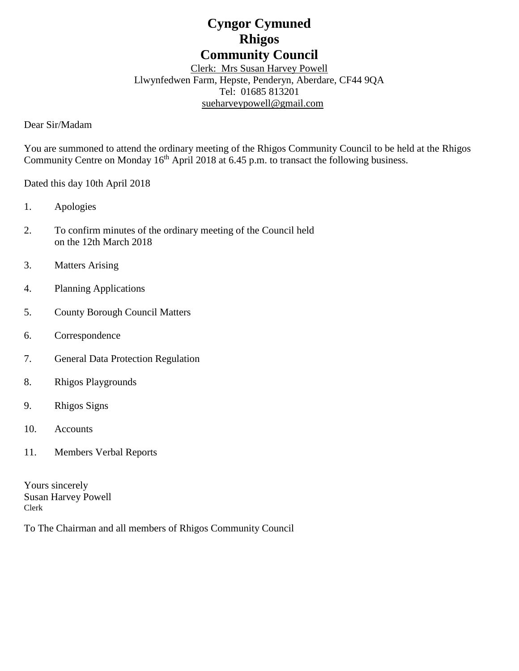# **Cyngor Cymuned Rhigos Community Council**

Clerk: Mrs Susan Harvey Powell Llwynfedwen Farm, Hepste, Penderyn, Aberdare, CF44 9QA Tel: 01685 813201 [sueharveypowell@g](mailto:sharveypowell@comin-infants.co.uk)mail.com

Dear Sir/Madam

You are summoned to attend the ordinary meeting of the Rhigos Community Council to be held at the Rhigos Community Centre on Monday 16<sup>th</sup> April 2018 at 6.45 p.m. to transact the following business.

Dated this day 10th April 2018

- 1. Apologies
- 2. To confirm minutes of the ordinary meeting of the Council held on the 12th March 2018
- 3. Matters Arising
- 4. Planning Applications
- 5. County Borough Council Matters
- 6. Correspondence
- 7. General Data Protection Regulation
- 8. Rhigos Playgrounds
- 9. Rhigos Signs
- 10. Accounts
- 11. Members Verbal Reports

Yours sincerely Susan Harvey Powell Clerk

To The Chairman and all members of Rhigos Community Council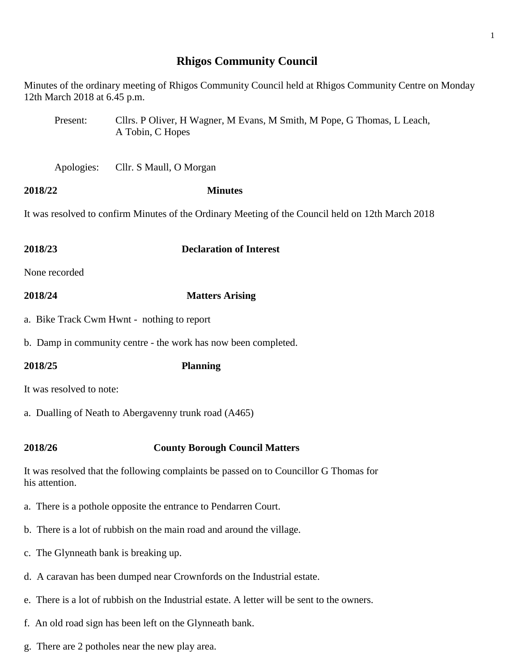## **Rhigos Community Council**

Minutes of the ordinary meeting of Rhigos Community Council held at Rhigos Community Centre on Monday 12th March 2018 at 6.45 p.m.

- Present: Cllrs. P Oliver, H Wagner, M Evans, M Smith, M Pope, G Thomas, L Leach, A Tobin, C Hopes
- Apologies: Cllr. S Maull, O Morgan

#### **2018/22 Minutes**

It was resolved to confirm Minutes of the Ordinary Meeting of the Council held on 12th March 2018

- **2018/23 Declaration of Interest** None recorded
- 
- **2018/24 Matters Arising**
- a. Bike Track Cwm Hwnt nothing to report
- b. Damp in community centre the work has now been completed.
- **2018/25 Planning**

It was resolved to note:

- a. Dualling of Neath to Abergavenny trunk road (A465)
- **2018/26 County Borough Council Matters**

It was resolved that the following complaints be passed on to Councillor G Thomas for his attention.

- a. There is a pothole opposite the entrance to Pendarren Court.
- b. There is a lot of rubbish on the main road and around the village.
- c. The Glynneath bank is breaking up.
- d. A caravan has been dumped near Crownfords on the Industrial estate.
- e. There is a lot of rubbish on the Industrial estate. A letter will be sent to the owners.
- f. An old road sign has been left on the Glynneath bank.
- g. There are 2 potholes near the new play area.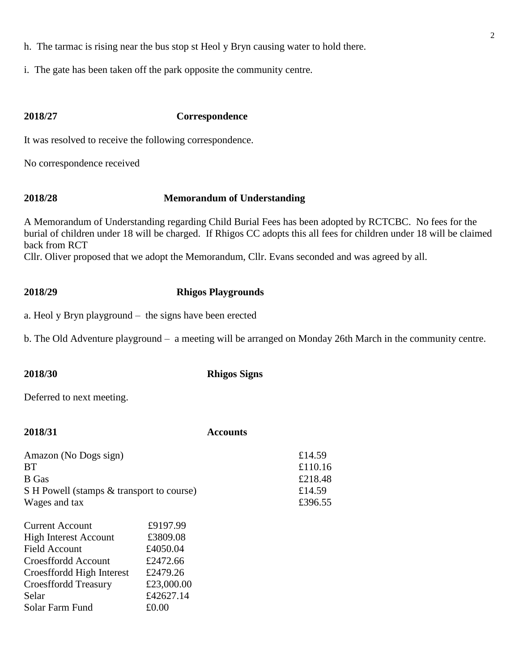- h. The tarmac is rising near the bus stop st Heol y Bryn causing water to hold there.
- i. The gate has been taken off the park opposite the community centre.

#### **2018/27 Correspondence**

It was resolved to receive the following correspondence.

No correspondence received

### **2018/28 Memorandum of Understanding**

A Memorandum of Understanding regarding Child Burial Fees has been adopted by RCTCBC. No fees for the burial of children under 18 will be charged. If Rhigos CC adopts this all fees for children under 18 will be claimed back from RCT

Cllr. Oliver proposed that we adopt the Memorandum, Cllr. Evans seconded and was agreed by all.

### **2018/29 Rhigos Playgrounds**

a. Heol y Bryn playground – the signs have been erected

b. The Old Adventure playground – a meeting will be arranged on Monday 26th March in the community centre.

**2018/30 Rhigos Signs**

Deferred to next meeting.

| 2018/31                                                                                                                                                                                                                                                    | <b>Accounts</b>                        |
|------------------------------------------------------------------------------------------------------------------------------------------------------------------------------------------------------------------------------------------------------------|----------------------------------------|
| Amazon (No Dogs sign)<br>BT<br><b>B</b> Gas<br>S H Powell (stamps & transport to course)                                                                                                                                                                   | £14.59<br>£110.16<br>£218.48<br>£14.59 |
| Wages and tax                                                                                                                                                                                                                                              | £396.55                                |
| £9197.99<br><b>Current Account</b><br>£3809.08<br><b>High Interest Account</b><br>Field Account<br>£4050.04<br>£2472.66<br>Croesffordd Account<br>£2479.26<br>Croesffordd High Interest<br>£23,000.00<br><b>Croesffordd Treasury</b><br>£42627.14<br>Selar |                                        |
| Solar Farm Fund<br>£0.00                                                                                                                                                                                                                                   |                                        |